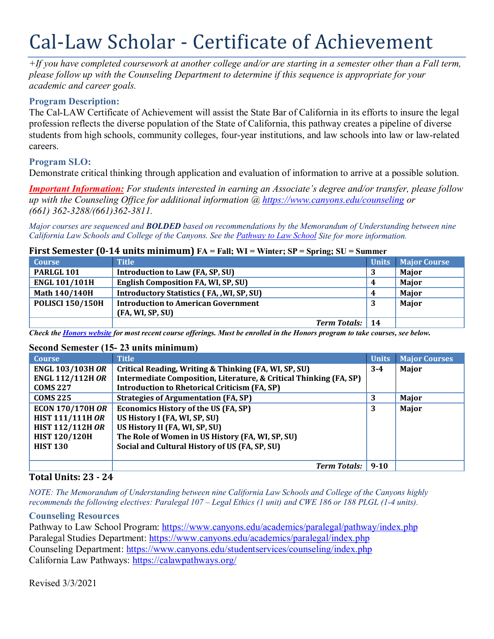# Cal-Law Scholar - Certificate of Achievement

*+If you have completed coursework at another college and/or are starting in a semester other than a Fall term, please follow up with the Counseling Department to determine if this sequence is appropriate for your academic and career goals.*

# **Program Description:**

The Cal-LAW Certificate of Achievement will assist the State Bar of California in its efforts to insure the legal profession reflects the diverse population of the State of California, this pathway creates a pipeline of diverse students from high schools, community colleges, four-year institutions, and law schools into law or law-related careers.

# **Program SLO:**

Demonstrate critical thinking through application and evaluation of information to arrive at a possible solution.

*Important Information: For students interested in earning an Associate's degree and/or transfer, please follow up with the Counseling Office for additional information @<https://www.canyons.edu/counseling> or (661) 362-3288/(661)362-3811.* 

*Major courses are sequenced and BOLDED based on recommendations by the Memorandum of Understanding between nine California Law Schools and College of the Canyons. See the [Pathway to Law School](https://www.canyons.edu/academics/paralegal/pathway/) Site for more information.*

#### **First Semester (0-14 units minimum) FA = Fall; WI = Winter; SP = Spring; SU = Summer**

| <b>Course</b>           | <b>Title</b>                                      |     | <b>Units</b> Major Course |
|-------------------------|---------------------------------------------------|-----|---------------------------|
| PARLGL 101              | Introduction to Law (FA, SP, SU)                  |     | <b>Maior</b>              |
| <b>ENGL 101/101H</b>    | English Composition FA, WI, SP, SU)               | 4   | Major                     |
| Math 140/140H           | <b>Introductory Statistics (FA, , WI, SP, SU)</b> | 4   | Major                     |
| <b>POLISCI 150/150H</b> | <b>Introduction to American Government</b>        | - 1 | <b>Major</b>              |
|                         | (FA, WI, SP, SU)                                  |     |                           |
|                         | <b>Term Totals:</b> 14                            |     |                           |

*Check th[e Honors website](https://www.canyons.edu/academics/honors/index.php) for most recent course offerings. Must be enrolled in the Honors program to take courses, see below.*

#### **Second Semester (15- 23 units minimum)**

| <b>Course</b>           | <b>Title</b>                                                       | <b>Units</b> | <b>Major Courses</b> |
|-------------------------|--------------------------------------------------------------------|--------------|----------------------|
| <b>ENGL 103/103H OR</b> | Critical Reading, Writing & Thinking (FA, WI, SP, SU)              | $3 - 4$      | Major                |
| <b>ENGL 112/112H OR</b> | Intermediate Composition, Literature, & Critical Thinking (FA, SP) |              |                      |
| <b>COMS 227</b>         | <b>Introduction to Rhetorical Criticism (FA, SP)</b>               |              |                      |
| <b>COMS 225</b>         | <b>Strategies of Argumentation (FA, SP)</b>                        | 3            | Major                |
| <b>ECON 170/170H OR</b> | <b>Economics History of the US (FA, SP)</b>                        | 3            | Major                |
| <b>HIST 111/111H OR</b> | US History I (FA, WI, SP, SU)                                      |              |                      |
| <b>HIST 112/112H OR</b> | US History II (FA, WI, SP, SU)                                     |              |                      |
| <b>HIST 120/120H</b>    | The Role of Women in US History (FA, WI, SP, SU)                   |              |                      |
| <b>HIST 130</b>         | Social and Cultural History of US (FA, SP, SU)                     |              |                      |
|                         |                                                                    |              |                      |
|                         | <b>Term Totals:</b> 9-10                                           |              |                      |

# **Total Units: 23 - 24**

*NOTE: The Memorandum of Understanding between nine California Law Schools and College of the Canyons highly recommends the following electives: Paralegal 107 – Legal Ethics (1 unit) and CWE 186 or 188 PLGL (1-4 units).*

#### **Counseling Resources**

Pathway to Law School Program:<https://www.canyons.edu/academics/paralegal/pathway/index.php> Paralegal Studies Department:<https://www.canyons.edu/academics/paralegal/index.php> Counseling Department:<https://www.canyons.edu/studentservices/counseling/index.php> California Law Pathways:<https://calawpathways.org/>

Revised 3/3/2021